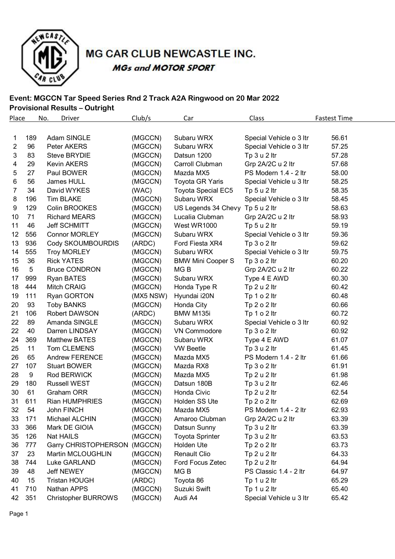

# MG CAR CLUB NEWCASTLE INC. **MGs and MOTOR SPORT**

### **Event: MGCCN Tar Speed Series Rnd 2 Track A2A Ringwood on 20 Mar 2022 Provisional Results – Outright**

| <b>Place</b> | No. | <b>Driver</b>                | Club/s    | Car                       | Class                   | <b>Fastest Time</b> |
|--------------|-----|------------------------------|-----------|---------------------------|-------------------------|---------------------|
|              |     |                              |           |                           |                         |                     |
| 1            | 189 | Adam SINGLE                  | (MGCCN)   | Subaru WRX                | Special Vehicle o 3 ltr | 56.61               |
| 2            | 96  | Peter AKERS                  | (MGCCN)   | Subaru WRX                | Special Vehicle o 3 ltr | 57.25               |
| 3            | 83  | <b>Steve BRYDIE</b>          | (MGCCN)   | Datsun 1200               | Tp 3 u 2 ltr            | 57.28               |
| 4            | 29  | Kevin AKERS                  | (MGCCN)   | Carroll Clubman           | Grp 2A/2C u 2 ltr       | 57.68               |
| 5            | 27  | Paul BOWER                   | (MGCCN)   | Mazda MX5                 | PS Modern 1.4 - 2 ltr   | 58.00               |
| 6            | 56  | James HULL                   | (MGCCN)   | <b>Toyota GR Yaris</b>    | Special Vehicle u 3 ltr | 58.25               |
| 7            | 34  | David WYKES                  | (WAC)     | <b>Toyota Special EC5</b> | Tp 5 u 2 ltr            | 58.35               |
| 8            | 196 | <b>Tim BLAKE</b>             | (MGCCN)   | Subaru WRX                | Special Vehicle o 3 ltr | 58.45               |
| 9            | 129 | Colin BROOKES                | (MGCCN)   | US Legends 34 Chevy       | Tp $5 u 2$ ltr          | 58.63               |
| 10           | 71  | <b>Richard MEARS</b>         | (MGCCN)   | Lucalia Clubman           | Grp 2A/2C u 2 ltr       | 58.93               |
| 11           | 46  | Jeff SCHMITT                 | (MGCCN)   | West WR1000               | Tp 5 u 2 ltr            | 59.19               |
| 12           | 556 | <b>Connor MORLEY</b>         | (MGCCN)   | Subaru WRX                | Special Vehicle o 3 ltr | 59.36               |
| 13           | 936 | Cody SKOUMBOURDIS            | (ARDC)    | Ford Fiesta XR4           | Tp $3 o 2$ ltr          | 59.62               |
| 14           | 555 | <b>Troy MORLEY</b>           | (MGCCN)   | Subaru WRX                | Special Vehicle o 3 ltr | 59.75               |
| 15           | 36  | <b>Rick YATES</b>            | (MGCCN)   | <b>BMW Mini Cooper S</b>  | Tp $3 o 2$ ltr          | 60.20               |
| 16           | 5   | <b>Bruce CONDRON</b>         | (MGCCN)   | MG <sub>B</sub>           | Grp 2A/2C u 2 ltr       | 60.22               |
| 17           | 999 | <b>Ryan BATES</b>            | (MGCCN)   | Subaru WRX                | Type 4 E AWD            | 60.30               |
| 18           | 444 | Mitch CRAIG                  | (MGCCN)   | Honda Type R              | Tp 2 u 2 ltr            | 60.42               |
| 19           | 111 | <b>Ryan GORTON</b>           | (MX5 NSW) | Hyundai i20N              | Tp 1 o 2 ltr            | 60.48               |
| 20           | 93  | <b>Toby BANKS</b>            | (MGCCN)   | Honda City                | Tp $2 o 2$ ltr          | 60.66               |
| 21           | 106 | Robert DAWSON                | (ARDC)    | BMW M135i                 | Tp 1 o 2 ltr            | 60.72               |
| 22           | 89  | Amanda SINGLE                | (MGCCN)   | Subaru WRX                | Special Vehicle o 3 ltr | 60.92               |
| 22           | 40  | Darren LINDSAY               | (MGCCN)   | VN Commodore              | Tp $3$ o $2$ ltr        | 60.92               |
| 24           | 369 | <b>Matthew BATES</b>         | (MGCCN)   | Subaru WRX                | Type 4 E AWD            | 61.07               |
| 25           | 11  | Tom CLEMENS                  | (MGCCN)   | <b>VW Beetle</b>          | Tp 3 u 2 ltr            | 61.45               |
| 26           | 65  | <b>Andrew FERENCE</b>        | (MGCCN)   | Mazda MX5                 | PS Modern 1.4 - 2 ltr   | 61.66               |
| 27           | 107 | <b>Stuart BOWER</b>          | (MGCCN)   | Mazda RX8                 | Tp 3 o 2 ltr            | 61.91               |
| 28           | 9   | Rod BERWICK                  | (MGCCN)   | Mazda MX5                 | Tp 2 u 2 ltr            | 61.98               |
| 29           | 180 | <b>Russell WEST</b>          | (MGCCN)   | Datsun 180B               | Tp 3 u 2 ltr            | 62.46               |
| 30           | 61  | <b>Graham ORR</b>            | (MGCCN)   | Honda Civic               | Tp 2 u 2 ltr            | 62.54               |
| 31           | 611 | <b>Rian HUMPHRIES</b>        | (MGCCN)   | Holden SS Ute             | Tp 2 o 2 ltr            | 62.69               |
| 32           | 54  | <b>John FINCH</b>            | (MGCCN)   | Mazda MX5                 | PS Modern 1.4 - 2 ltr   | 62.93               |
| 33           | 171 | Michael ALCHIN               | (MGCCN)   | Amaroo Clubman            | Grp 2A/2C u 2 ltr       | 63.39               |
| 33           | 366 | Mark DE GIOIA                | (MGCCN)   | Datsun Sunny              | Tp 3 u 2 ltr            | 63.39               |
| 35           | 126 | <b>Nat HAILS</b>             | (MGCCN)   | <b>Toyota Sprinter</b>    | Tp 3 u 2 ltr            | 63.53               |
| 36           | 777 | Garry CHRISTOPHERSON (MGCCN) |           | Holden Ute                | Tp 2 o 2 ltr            | 63.73               |
| 37           | 23  | Martin MCLOUGHLIN            | (MGCCN)   | Renault Clio              | Tp 2 u 2 ltr            | 64.33               |
| 38           | 744 | Luke GARLAND                 | (MGCCN)   | Ford Focus Zetec          | Tp 2 u 2 ltr            | 64.94               |
| 39           | 48  | <b>Jeff NEWEY</b>            | (MGCCN)   | MG B                      | PS Classic 1.4 - 2 ltr  | 64.97               |
| 40           | 15  | <b>Tristan HOUGH</b>         | (ARDC)    | Toyota 86                 | Tp 1 u 2 ltr            | 65.29               |
| 41           | 710 | Nathan APPS                  | (MGCCN)   | Suzuki Swift              | Tp 1 u 2 ltr            | 65.40               |
| 42           | 351 | <b>Christopher BURROWS</b>   | (MGCCN)   | Audi A4                   | Special Vehicle u 3 ltr | 65.42               |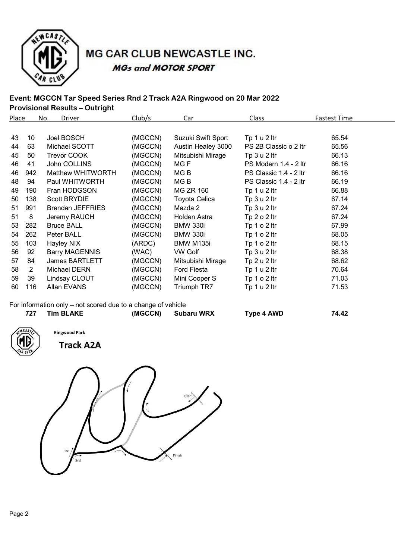

## MG CAR CLUB NEWCASTLE INC. **MGs and MOTOR SPORT**

### **Event: MGCCN Tar Speed Series Rnd 2 Track A2A Ringwood on 20 Mar 2022 Provisional Results – Outright**

| Place |     | Driver<br>No.           | Club/s  | Car                | Class                  | <b>Fastest Time</b> |
|-------|-----|-------------------------|---------|--------------------|------------------------|---------------------|
|       |     |                         |         |                    |                        |                     |
| 43    | 10  | Joel BOSCH              | (MGCCN) | Suzuki Swift Sport | Tp 1 u 2 ltr           | 65.54               |
| 44    | 63  | Michael SCOTT           | (MGCCN) | Austin Healey 3000 | PS 2B Classic o 2 ltr  | 65.56               |
| 45    | 50  | Trevor COOK             | (MGCCN) | Mitsubishi Mirage  | Tp 3 u 2 ltr           | 66.13               |
| 46    | 41  | John COLLINS            | (MGCCN) | MG <sub>F</sub>    | PS Modern 1.4 - 2 ltr  | 66.16               |
| 46    | 942 | Matthew WHITWORTH       | (MGCCN) | MG <sub>B</sub>    | PS Classic 1.4 - 2 ltr | 66.16               |
| 48    | 94  | Paul WHITWORTH          | (MGCCN) | MG <sub>B</sub>    | PS Classic 1.4 - 2 ltr | 66.19               |
| 49    | 190 | Fran HODGSON            | (MGCCN) | <b>MG ZR 160</b>   | Tp 1 u 2 ltr           | 66.88               |
| 50    | 138 | <b>Scott BRYDIE</b>     | (MGCCN) | Toyota Celica      | Tp 3 u 2 ltr           | 67.14               |
| 51    | 991 | <b>Brendan JEFFRIES</b> | (MGCCN) | Mazda 2            | Tp 3 u 2 ltr           | 67.24               |
| 51    | 8   | Jeremy RAUCH            | (MGCCN) | Holden Astra       | Tp $2 o 2$ ltr         | 67.24               |
| 53    | 282 | <b>Bruce BALL</b>       | (MGCCN) | <b>BMW 330i</b>    | Tp 1 o 2 ltr           | 67.99               |
| 54    | 262 | Peter BALL              | (MGCCN) | <b>BMW 330i</b>    | Tp $1 o 2$ ltr         | 68.05               |
| 55    | 103 | Hayley NIX              | (ARDC)  | BMW M135i          | Tp $1 o 2$ ltr         | 68.15               |
| 56    | 92  | <b>Barry MAGENNIS</b>   | (WAC)   | <b>VW Golf</b>     | Tp 3 u 2 ltr           | 68.38               |
| 57    | 84  | <b>James BARTLETT</b>   | (MGCCN) | Mitsubishi Mirage  | Tp 2 u 2 ltr           | 68.62               |
| 58    | 2   | Michael DERN            | (MGCCN) | Ford Fiesta        | Tp 1 u 2 ltr           | 70.64               |
| 59    | 39  | Lindsay CLOUT           | (MGCCN) | Mini Cooper S      | Tp 1 o 2 ltr           | 71.03               |
| 60    | 116 | Allan EVANS             | (MGCCN) | Triumph TR7        | Tp 1 u 2 ltr           | 71.53               |

For information only – not scored due to a change of vehicle

| 727 | <b>Tim BLAKE</b> | (MGCCN) | <b>Subaru WRX</b> | Type 4 AWD | 74.42 |
|-----|------------------|---------|-------------------|------------|-------|
|     |                  |         |                   |            |       |



**Track A2A** 

**Ringwood Park** 

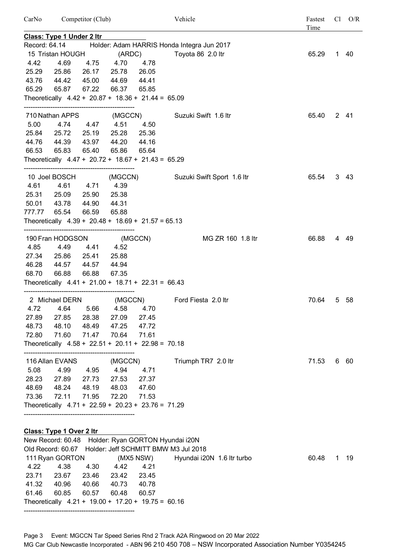| CarNo         |                                                      | Competitor (Club) |             |           | Vehicle                                                                                    | Fastest<br>Time |    | $Cl$ $O/R$ |
|---------------|------------------------------------------------------|-------------------|-------------|-----------|--------------------------------------------------------------------------------------------|-----------------|----|------------|
|               | <b>Class: Type 1 Under 2 ltr</b>                     |                   |             |           |                                                                                            |                 |    |            |
| Record: 64.14 |                                                      |                   |             |           | Holder: Adam HARRIS Honda Integra Jun 2017                                                 |                 |    |            |
|               | 15 Tristan HOUGH                                     |                   | (ARDC)      |           | Toyota 86 2.0 ltr                                                                          | 65.29           |    | 1 40       |
| 4.42          | 4.69                                                 |                   | 4.75 4.70   | 4.78      |                                                                                            |                 |    |            |
| 25.29         | 25.86                                                |                   | 26.17 25.78 | 26.05     |                                                                                            |                 |    |            |
| 43.76         | 44.42                                                | 45.00             | 44.69       | 44.41     |                                                                                            |                 |    |            |
| 65.29         | 65.87                                                | 67.22             | 66.37       | 65.85     |                                                                                            |                 |    |            |
|               | Theoretically $4.42 + 20.87 + 18.36 + 21.44 = 65.09$ |                   |             |           |                                                                                            |                 |    |            |
|               | 710 Nathan APPS                                      |                   | (MGCCN)     |           | Suzuki Swift 1.6 ltr                                                                       | 65.40           |    | 2 41       |
| 5.00          | 4.74                                                 | 4.47 4.51         |             | 4.50      |                                                                                            |                 |    |            |
| 25.84         | 25.72                                                | 25.19             | 25.28       | 25.36     |                                                                                            |                 |    |            |
| 44.76         | 44.39                                                | 43.97             | 44.20       | 44.16     |                                                                                            |                 |    |            |
| 66.53         | 65.83                                                | 65.40             | 65.86       | 65.64     |                                                                                            |                 |    |            |
|               | Theoretically $4.47 + 20.72 + 18.67 + 21.43 = 65.29$ |                   |             |           |                                                                                            |                 |    |            |
|               | 10 Joel BOSCH                                        |                   |             |           | (MGCCN) Suzuki Swift Sport 1.6 ltr                                                         | 65.54           |    | 343        |
| 4.61          | 4.61                                                 | 4.71              | 4.39        |           |                                                                                            |                 |    |            |
| 25.31         | 25.09                                                | 25.90             | 25.38       |           |                                                                                            |                 |    |            |
| 50.01         | 43.78                                                | 44.90             | 44.31       |           |                                                                                            |                 |    |            |
| 777.77        | 65.54                                                | 66.59             | 65.88       |           |                                                                                            |                 |    |            |
|               | Theoretically $4.39 + 20.48 + 18.69 + 21.57 = 65.13$ |                   |             |           |                                                                                            |                 |    |            |
|               | 190 Fran HODGSON                                     |                   | (MGCCN)     |           | MG ZR 160 1.8 ltr                                                                          | 66.88           |    | 4 49       |
| 4.85          | 4.49                                                 | 4.41              | 4.52        |           |                                                                                            |                 |    |            |
| 27.34         | 25.86                                                | 25.41             | 25.88       |           |                                                                                            |                 |    |            |
| 46.28         | 44.57                                                | 44.57             | 44.94       |           |                                                                                            |                 |    |            |
| 68.70         | 66.88                                                | 66.88             | 67.35       |           |                                                                                            |                 |    |            |
|               | Theoretically $4.41 + 21.00 + 18.71 + 22.31 = 66.43$ |                   |             |           |                                                                                            |                 |    |            |
|               | 2 Michael DERN                                       |                   | (MGCCN)     |           | Ford Fiesta 2.0 ltr                                                                        | 70.64           |    | 5 58       |
| 4.72          | 4.64                                                 | 5.66              | 4.58        | 4.70      |                                                                                            |                 |    |            |
| 27.89         | 27.85                                                | 28.38             | 27.09       | 27.45     |                                                                                            |                 |    |            |
| 48.73         | 48.10                                                | 48.49             | 47.25       | 47.72     |                                                                                            |                 |    |            |
| 72.80         | 71.60                                                | 71.47             | 70.64       | 71.61     |                                                                                            |                 |    |            |
|               | Theoretically $4.58 + 22.51 + 20.11 + 22.98 = 70.18$ |                   |             |           |                                                                                            |                 |    |            |
|               |                                                      |                   |             |           |                                                                                            |                 |    |            |
|               | 116 Allan EVANS                                      |                   | (MGCCN)     |           | Triumph TR7 2.0 ltr                                                                        | 71.53           |    | 6 60       |
| 5.08          | 4.99                                                 | 4.95              | 4.94        | 4.71      |                                                                                            |                 |    |            |
| 28.23         | 27.89                                                | 27.73             | 27.53       | 27.37     |                                                                                            |                 |    |            |
| 48.69         | 48.24                                                | 48.19             | 48.03       | 47.60     |                                                                                            |                 |    |            |
| 73.36         | 72.11                                                | 71.95             | 72.20       | 71.53     |                                                                                            |                 |    |            |
|               | Theoretically $4.71 + 22.59 + 20.23 + 23.76 = 71.29$ |                   |             |           |                                                                                            |                 |    |            |
|               |                                                      |                   |             |           |                                                                                            |                 |    |            |
|               | Class: Type 1 Over 2 Itr                             |                   |             |           |                                                                                            |                 |    |            |
|               | Old Record: 60.67                                    |                   |             |           | New Record: 60.48 Holder: Ryan GORTON Hyundai i20N<br>Holder: Jeff SCHMITT BMW M3 Jul 2018 |                 |    |            |
|               | 111 Ryan GORTON                                      |                   |             | (MX5 NSW) | Hyundai i20N 1.6 ltr turbo                                                                 | 60.48           | 1. | - 19       |
| 4.22          | 4.38                                                 | 4.30              | 4.42        | 4.21      |                                                                                            |                 |    |            |
| 23.71         | 23.67                                                | 23.46             | 23.42       | 23.45     |                                                                                            |                 |    |            |
| 41.32         | 40.96                                                | 40.66             | 40.73       | 40.78     |                                                                                            |                 |    |            |
|               |                                                      |                   |             |           |                                                                                            |                 |    |            |

61.46 60.85 60.57 60.48 60.57 Theoretically 4.21 + 19.00 + 17.20 + 19.75 = 60.16

--------------------------------------------------

Page 3 Event: MGCCN Tar Speed Series Rnd 2 Track A2A Ringwood on 20 Mar 2022 MG Car Club Newcastle Incorporated - ABN 96 210 450 708 – NSW Incorporated Association Number Y0354245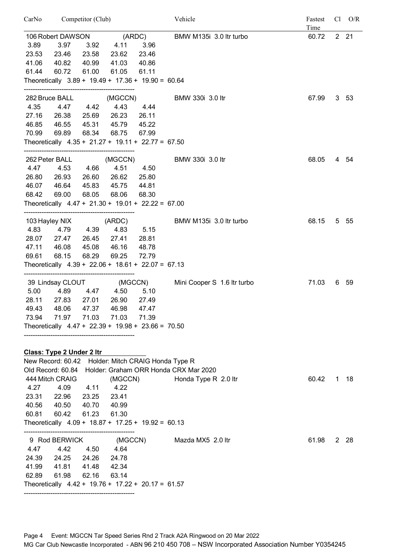| CarNo          | Competitor (Club)         |                |                                                      |         | Vehicle                               | Fastest<br>Time | $Cl$ $O/R$ |              |
|----------------|---------------------------|----------------|------------------------------------------------------|---------|---------------------------------------|-----------------|------------|--------------|
|                | 106 Robert DAWSON         |                | (ARDC)                                               |         | BMW M135i 3.0 ltr turbo               | 60.72           |            | $2 \quad 21$ |
| 3.89           | 3.97                      | 3.92           | 4.11                                                 | 3.96    |                                       |                 |            |              |
| 23.53          | 23.46                     | 23.58          | 23.62                                                | 23.46   |                                       |                 |            |              |
| 41.06          | 40.82                     | 40.99          | 41.03                                                | 40.86   |                                       |                 |            |              |
| 61.44          | 60.72                     | 61.00          | 61.05                                                | 61.11   |                                       |                 |            |              |
|                |                           |                | Theoretically $3.89 + 19.49 + 17.36 + 19.90 = 60.64$ |         |                                       |                 |            |              |
|                | 282 Bruce BALL            |                | (MGCCN)                                              |         | BMW 330i 3.0 ltr                      | 67.99           |            | 3, 53        |
| 4.35           | 4.47                      | 4.42           | 4.43                                                 | 4.44    |                                       |                 |            |              |
| 27.16          | 26.38                     | 25.69          | 26.23                                                | 26.11   |                                       |                 |            |              |
| 46.85<br>70.99 | 46.55<br>69.89            | 45.31<br>68.34 | 45.79<br>68.75                                       | 45.22   |                                       |                 |            |              |
|                |                           |                | Theoretically $4.35 + 21.27 + 19.11 + 22.77 = 67.50$ | 67.99   |                                       |                 |            |              |
|                |                           |                |                                                      |         |                                       |                 |            |              |
| 4.47           | 262 Peter BALL<br>4.53    | 4.66           | (MGCCN)<br>4.51                                      | 4.50    | BMW 330i 3.0 ltr                      | 68.05           |            | 4 54         |
| 26.80          | 26.93                     | 26.60          | 26.62                                                | 25.80   |                                       |                 |            |              |
|                | 46.07 46.64               | 45.83          | 45.75                                                | 44.81   |                                       |                 |            |              |
| 68.42          | 69.00                     | 68.05          | 68.06                                                | 68.30   |                                       |                 |            |              |
|                |                           |                | Theoretically $4.47 + 21.30 + 19.01 + 22.22 = 67.00$ |         |                                       |                 |            |              |
|                | 103 Hayley NIX            |                | (ARDC)                                               |         | BMW M135i 3.0 ltr turbo               | 68.15           |            | 5 55         |
|                | 4.83 4.79 4.39            |                | 4.83                                                 | 5.15    |                                       |                 |            |              |
|                | 28.07 27.47               | 26.45          | 27.41                                                | 28.81   |                                       |                 |            |              |
| 47.11          | 46.08                     | 45.08          | 46.16                                                | 48.78   |                                       |                 |            |              |
| 69.61          | 68.15                     | 68.29          | 69.25                                                | 72.79   |                                       |                 |            |              |
|                |                           |                | Theoretically $4.39 + 22.06 + 18.61 + 22.07 = 67.13$ |         |                                       |                 |            |              |
|                |                           |                | 39 Lindsay CLOUT (MGCCN)                             |         | Mini Cooper S 1.6 Itr turbo           | 71.03           |            | 6 59         |
| 5.00           | 4.89                      |                | 4.47 4.50                                            | 5.10    |                                       |                 |            |              |
| 28.11          | 27.83                     | 27.01          | 26.90                                                | 27.49   |                                       |                 |            |              |
| 49.43          | 48.06                     | 47.37          | 46.98                                                | 47.47   |                                       |                 |            |              |
| 73.94          |                           |                | 71.97 71.03 71.03                                    | 71.39   |                                       |                 |            |              |
|                |                           |                | Theoretically $4.47 + 22.39 + 19.98 + 23.66 = 70.50$ |         |                                       |                 |            |              |
|                |                           |                |                                                      |         |                                       |                 |            |              |
|                | Class: Type 2 Under 2 Itr |                |                                                      |         |                                       |                 |            |              |
|                | Old Record: 60.84         |                | New Record: 60.42 Holder: Mitch CRAIG Honda Type R   |         | Holder: Graham ORR Honda CRX Mar 2020 |                 |            |              |
|                | 444 Mitch CRAIG           |                |                                                      | (MGCCN) | Honda Type R 2.0 ltr                  | 60.42           |            | 1 18         |
| 4.27           | 4.09                      | 4.11           | 4.22                                                 |         |                                       |                 |            |              |
|                | 23.31 22.96               | 23.25          | 23.41                                                |         |                                       |                 |            |              |
|                | 40.56 40.50               | 40.70          | 40.99                                                |         |                                       |                 |            |              |
| 60.81          | 60.42                     | 61.23          | 61.30                                                |         |                                       |                 |            |              |
|                |                           |                | Theoretically $4.09 + 18.87 + 17.25 + 19.92 = 60.13$ |         |                                       |                 |            |              |
|                | 9 Rod BERWICK             |                |                                                      | (MGCCN) | Mazda MX5 2.0 ltr                     | 61.98           |            | 2 28         |
| 4.47           | 4.42                      | 4.50           | 4.64                                                 |         |                                       |                 |            |              |
|                | 24.39 24.25               | 24.26          | 24.78                                                |         |                                       |                 |            |              |
|                | 41.99 41.81               | 41.48          | 42.34                                                |         |                                       |                 |            |              |
| 62.89          | 61.98                     | 62.16          | 63.14                                                |         |                                       |                 |            |              |
|                |                           |                | Theoretically $4.42 + 19.76 + 17.22 + 20.17 = 61.57$ |         |                                       |                 |            |              |
|                |                           |                |                                                      |         |                                       |                 |            |              |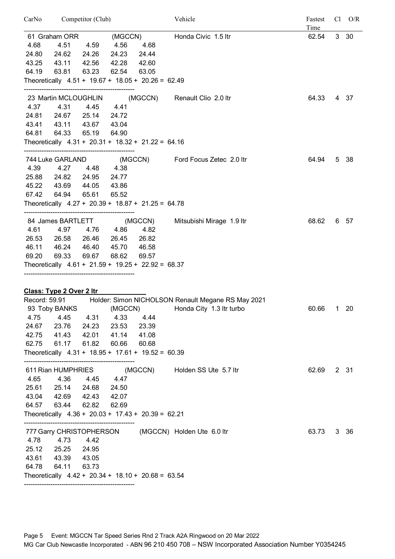| CarNo         | Competitor (Club)               |       |         |                                                      | Vehicle                                                                        |       | Fastest<br>$Cl$ $O/R$<br>Time |      |
|---------------|---------------------------------|-------|---------|------------------------------------------------------|--------------------------------------------------------------------------------|-------|-------------------------------|------|
|               | 61 Graham ORR                   |       |         | (MGCCN)                                              | Honda Civic 1.5 ltr                                                            | 62.54 |                               | 3 30 |
| 4.68          | 4.51                            | 4.59  | 4.56    | 4.68                                                 |                                                                                |       |                               |      |
| 24.80         | 24.62                           | 24.26 | 24.23   | 24.44                                                |                                                                                |       |                               |      |
| 43.25         | 43.11                           | 42.56 | 42.28   | 42.60                                                |                                                                                |       |                               |      |
| 64.19         | 63.81                           | 63.23 | 62.54   | 63.05                                                |                                                                                |       |                               |      |
|               |                                 |       |         | Theoretically $4.51 + 19.67 + 18.05 + 20.26 = 62.49$ |                                                                                |       |                               |      |
|               | 23 Martin MCLOUGHLIN            |       |         |                                                      | (MGCCN) Renault Clio 2.0 ltr                                                   | 64.33 |                               | 437  |
| 4.37          | 4.31                            | 4.45  | 4.41    |                                                      |                                                                                |       |                               |      |
|               | 24.81 24.67                     | 25.14 | 24.72   |                                                      |                                                                                |       |                               |      |
|               | 43.41 43.11                     | 43.67 | 43.04   |                                                      |                                                                                |       |                               |      |
| 64.81         | 64.33                           | 65.19 | 64.90   |                                                      |                                                                                |       |                               |      |
|               |                                 |       |         | Theoretically $4.31 + 20.31 + 18.32 + 21.22 = 64.16$ |                                                                                |       |                               |      |
|               | 744 Luke GARLAND                |       |         |                                                      | (MGCCN) Ford Focus Zetec 2.0 ltr                                               | 64.94 |                               | 5 38 |
| 4.39          | 4.27                            | 4.48  | 4.38    |                                                      |                                                                                |       |                               |      |
|               | 25.88 24.82                     | 24.95 | 24.77   |                                                      |                                                                                |       |                               |      |
|               | 45.22 43.69                     | 44.05 | 43.86   |                                                      |                                                                                |       |                               |      |
| 67.42         | 64.94                           | 65.61 | 65.52   |                                                      |                                                                                |       |                               |      |
|               |                                 |       |         | Theoretically $4.27 + 20.39 + 18.87 + 21.25 = 64.78$ |                                                                                |       |                               |      |
|               | 84 James BARTLETT               |       |         | (MGCCN)                                              | Mitsubishi Mirage 1.9 ltr                                                      | 68.62 |                               | 6 57 |
|               | 4.61 4.97                       | 4.76  | 4.86    | 4.82                                                 |                                                                                |       |                               |      |
|               | 26.53 26.58                     | 26.46 | 26.45   | 26.82                                                |                                                                                |       |                               |      |
|               | 46.11 46.24                     | 46.40 | 45.70   | 46.58                                                |                                                                                |       |                               |      |
| 69.20         | 69.33                           | 69.67 | 68.62   | 69.57                                                |                                                                                |       |                               |      |
|               |                                 |       |         | Theoretically $4.61 + 21.59 + 19.25 + 22.92 = 68.37$ |                                                                                |       |                               |      |
|               |                                 |       |         |                                                      |                                                                                |       |                               |      |
|               | <b>Class: Type 2 Over 2 Itr</b> |       |         |                                                      |                                                                                |       |                               |      |
| Record: 59.91 | 93 Toby BANKS                   |       | (MGCCN) |                                                      | Holder: Simon NICHOLSON Renault Megane RS May 2021<br>Honda City 1.3 Itr turbo | 60.66 | 1.                            | 20   |
| 4.75          | 4.45                            | 4.31  | 4.33    | 4.44                                                 |                                                                                |       |                               |      |
| 24.67         | 23.76                           | 24.23 | 23.53   | 23.39                                                |                                                                                |       |                               |      |
| 42.75         | 41.43                           | 42.01 | 41.14   | 41.08                                                |                                                                                |       |                               |      |
| 62.75         | 61.17                           | 61.82 | 60.66   | 60.68                                                |                                                                                |       |                               |      |
|               |                                 |       |         | Theoretically $4.31 + 18.95 + 17.61 + 19.52 = 60.39$ |                                                                                |       |                               |      |
|               | 611 Rian HUMPHRIES              |       |         | (MGCCN)                                              | Holden SS Ute 5.7 ltr                                                          | 62.69 |                               | 2 31 |
| 4.65          | 4.36                            | 4.45  | 4.47    |                                                      |                                                                                |       |                               |      |
|               | 25.61 25.14                     | 24.68 | 24.50   |                                                      |                                                                                |       |                               |      |
|               | 43.04 42.69                     | 42.43 | 42.07   |                                                      |                                                                                |       |                               |      |
|               | 64.57 63.44                     | 62.82 | 62.69   |                                                      |                                                                                |       |                               |      |
|               |                                 |       |         | Theoretically $4.36 + 20.03 + 17.43 + 20.39 = 62.21$ |                                                                                |       |                               |      |
|               | 777 Garry CHRISTOPHERSON        |       |         |                                                      | (MGCCN) Holden Ute 6.0 ltr                                                     | 63.73 |                               | 3 36 |
| 4.78          | 4.73                            | 4.42  |         |                                                      |                                                                                |       |                               |      |
| 25.12         | 25.25                           | 24.95 |         |                                                      |                                                                                |       |                               |      |
| 43.61         | 43.39                           | 43.05 |         |                                                      |                                                                                |       |                               |      |
| 64.78         | 64.11                           | 63.73 |         |                                                      |                                                                                |       |                               |      |
|               |                                 |       |         | Theoretically $4.42 + 20.34 + 18.10 + 20.68 = 63.54$ |                                                                                |       |                               |      |
|               |                                 |       |         |                                                      |                                                                                |       |                               |      |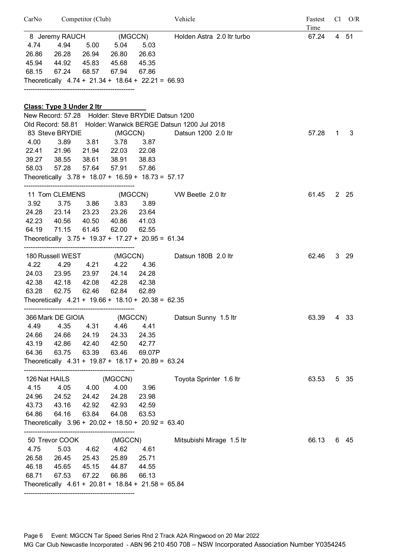|       | CarNo Competitor (Club)                              |                |                   | Vehicle                                                      | Fastest | $Cl$ $O/R$<br>Time |      |
|-------|------------------------------------------------------|----------------|-------------------|--------------------------------------------------------------|---------|--------------------|------|
|       | 8 Jeremy RAUCH (MGCCN)                               |                |                   | Holden Astra 2.0 ltr turbo                                   | 67.24   |                    | 4 51 |
| 4.74  | 4.94                                                 | 5.00 5.04      | 5.03              |                                                              |         |                    |      |
| 26.86 | 26.28 26.94 26.80                                    |                | 26.63             |                                                              |         |                    |      |
|       | 45.94 44.92                                          | 45.83 45.68    | 45.35             |                                                              |         |                    |      |
| 68.15 | 67.24 68.57 67.94                                    |                | 67.86             |                                                              |         |                    |      |
|       | Theoretically $4.74 + 21.34 + 18.64 + 22.21 = 66.93$ |                |                   |                                                              |         |                    |      |
|       |                                                      |                |                   |                                                              |         |                    |      |
|       | Class: Type 3 Under 2 Itr                            |                |                   |                                                              |         |                    |      |
|       | New Record: 57.28 Holder: Steve BRYDIE Datsun 1200   |                |                   |                                                              |         |                    |      |
|       |                                                      |                |                   | Old Record: 58.81 Holder: Warwick BERGE Datsun 1200 Jul 2018 |         |                    |      |
|       | 83 Steve BRYDIE (MGCCN)                              |                |                   | Datsun 1200 2.0 ltr                                          | 57.28   | 1                  | 3    |
| 4.00  | 3.89                                                 |                | 3.81 3.78 3.87    |                                                              |         |                    |      |
|       | 22.41 21.96                                          |                | 21.94 22.03 22.08 |                                                              |         |                    |      |
|       | 39.27 38.55                                          | 38.61          | 38.91 38.83       |                                                              |         |                    |      |
| 58.03 | 57.28                                                | 57.64<br>57.91 | 57.86             |                                                              |         |                    |      |
|       | Theoretically $3.78 + 18.07 + 16.59 + 18.73 = 57.17$ |                |                   |                                                              |         |                    |      |
|       |                                                      |                |                   | 11 Tom CLEMENS (MGCCN) VW Beetle 2.0 ltr                     | 61.45   |                    | 2 25 |
| 3.92  | 3.75                                                 | 3.86 3.83      | 3.89              |                                                              |         |                    |      |
|       | 24.28 23.14 23.23 23.26 23.64                        |                |                   |                                                              |         |                    |      |
|       | 42.23 40.56                                          | 40.50 40.86    | 41.03             |                                                              |         |                    |      |
| 64.19 | 71.15<br>61.45                                       | 62.00          | 62.55             |                                                              |         |                    |      |
|       | Theoretically $3.75 + 19.37 + 17.27 + 20.95 = 61.34$ |                |                   |                                                              |         |                    |      |
|       | 180 Russell WEST (MGCCN)                             |                |                   | Datsun 180B 2.0 ltr                                          | 62.46   |                    | 3 29 |
| 4.22  | 4.29                                                 |                | 4.21 4.22 4.36    |                                                              |         |                    |      |
| 24.03 | 23.95                                                | 23.97          | 24.28<br>24.14    |                                                              |         |                    |      |
| 42.38 | 42.18<br>42.08                                       | 42.28          | 42.38             |                                                              |         |                    |      |
| 63.28 | 62.75                                                | 62.46<br>62.84 | 62.89             |                                                              |         |                    |      |
|       | Theoretically $4.21 + 19.66 + 18.10 + 20.38 = 62.35$ |                |                   |                                                              |         |                    |      |
|       |                                                      |                |                   |                                                              |         |                    |      |
|       | 366 Mark DE GIOIA                                    |                | (MGCCN)           | Datsun Sunny 1.5 ltr                                         | 63.39   |                    | 4 33 |
| 4.49  | 4.35                                                 | 4.31 4.46      | 4.41              |                                                              |         |                    |      |
| 24.66 | 24.66                                                | 24.19<br>24.33 | 24.35             |                                                              |         |                    |      |
| 43.19 | 42.86                                                | 42.40          | 42.50<br>42.77    |                                                              |         |                    |      |
| 64.36 | 63.75                                                | 63.39 63.46    | 69.07P            |                                                              |         |                    |      |
|       | Theoretically $4.31 + 19.87 + 18.17 + 20.89 = 63.24$ |                |                   |                                                              |         |                    |      |
|       | 126 Nat HAILS                                        | (MGCCN)        |                   | Toyota Sprinter 1.6 ltr                                      | 63.53   |                    | 5 35 |
| 4.15  | 4.05 4.00                                            |                | 4.00<br>3.96      |                                                              |         |                    |      |
| 24.96 | 24.52                                                | 24.42<br>24.28 | 23.98             |                                                              |         |                    |      |
| 43.73 | 43.16                                                | 42.92 42.93    | 42.59             |                                                              |         |                    |      |
| 64.86 | 64.16<br>63.84                                       | 64.08          | 63.53             |                                                              |         |                    |      |
|       | Theoretically $3.96 + 20.02 + 18.50 + 20.92 = 63.40$ |                |                   |                                                              |         |                    |      |
|       | 50 Trevor COOK                                       |                | (MGCCN)           | Mitsubishi Mirage 1.5 ltr                                    | 66.13   |                    | 6 45 |
| 4.75  | 5.03                                                 |                | 4.62 4.61         |                                                              |         |                    |      |
|       | 4.62                                                 |                |                   |                                                              |         |                    |      |
| 26.58 | 26.45                                                | 25.89<br>25.43 | 25.71             |                                                              |         |                    |      |
| 46.18 | 45.65                                                | 45.15<br>44.87 | 44.55             |                                                              |         |                    |      |
| 68.71 | 67.53                                                | 67.22<br>66.86 | 66.13             |                                                              |         |                    |      |
|       | Theoretically $4.61 + 20.81 + 18.84 + 21.58 = 65.84$ |                |                   |                                                              |         |                    |      |
|       |                                                      |                |                   |                                                              |         |                    |      |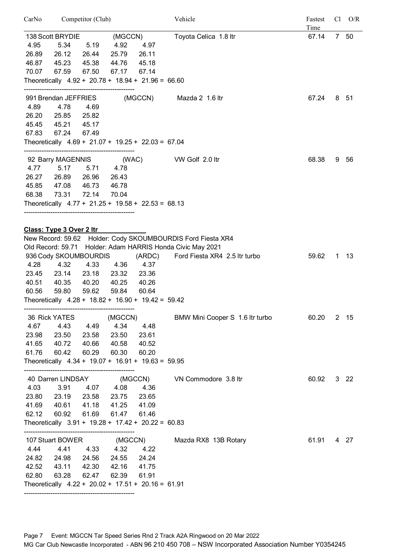| CarNo | Competitor (Club)                                             |       |                   |         | Vehicle                                                     | Fastest<br>Time |             | $Cl$ $O/R$  |
|-------|---------------------------------------------------------------|-------|-------------------|---------|-------------------------------------------------------------|-----------------|-------------|-------------|
|       | 138 Scott BRYDIE                                              |       | (MGCCN)           |         | Toyota Celica 1.8 ltr                                       | 67.14           |             | 7 50        |
| 4.95  | 5.34                                                          | 5.19  | 4.92              | 4.97    |                                                             |                 |             |             |
| 26.89 | 26.12                                                         | 26.44 | 25.79             | 26.11   |                                                             |                 |             |             |
| 46.87 | 45.23                                                         | 45.38 | 44.76             | 45.18   |                                                             |                 |             |             |
| 70.07 | 67.59                                                         | 67.50 | 67.17             | 67.14   |                                                             |                 |             |             |
|       | Theoretically $4.92 + 20.78 + 18.94 + 21.96 = 66.60$          |       |                   |         |                                                             |                 |             |             |
|       | 991 Brendan JEFFRIES                                          |       |                   |         | (MGCCN) Mazda 2 1.6 ltr                                     | 67.24           |             | 8 51        |
| 4.89  | 4.78                                                          | 4.69  |                   |         |                                                             |                 |             |             |
| 26.20 | 25.85                                                         | 25.82 |                   |         |                                                             |                 |             |             |
| 45.45 | 45.21                                                         | 45.17 |                   |         |                                                             |                 |             |             |
| 67.83 | 67.24                                                         | 67.49 |                   |         |                                                             |                 |             |             |
|       | Theoretically $4.69 + 21.07 + 19.25 + 22.03 = 67.04$          |       |                   |         |                                                             |                 |             |             |
|       |                                                               |       |                   |         | 92 Barry MAGENNIS (WAC) VW Golf 2.0 ltr                     | 68.38           | 9           | -56         |
| 4.77  | 5.17                                                          | 5.71  | 4.78              |         |                                                             |                 |             |             |
| 26.27 | 26.89                                                         | 26.96 | 26.43             |         |                                                             |                 |             |             |
| 45.85 | 47.08                                                         | 46.73 | 46.78             |         |                                                             |                 |             |             |
| 68.38 | 73.31                                                         | 72.14 | 70.04             |         |                                                             |                 |             |             |
|       | Theoretically $4.77 + 21.25 + 19.58 + 22.53 = 68.13$          |       |                   |         |                                                             |                 |             |             |
|       |                                                               |       |                   |         |                                                             |                 |             |             |
|       | Class: Type 3 Over 2 Itr                                      |       |                   |         | New Record: 59.62 Holder: Cody SKOUMBOURDIS Ford Fiesta XR4 |                 |             |             |
|       |                                                               |       |                   |         | Old Record: 59.71 Holder: Adam HARRIS Honda Civic May 2021  |                 |             |             |
|       | 936 Cody SKOUMBOURDIS                                         |       |                   |         | (ARDC) Ford Fiesta XR4 2.5 ltr turbo                        | 59.62           | $\mathbf 1$ | - 13        |
| 4.28  | 4.32                                                          | 4.33  | 4.36              | 4.37    |                                                             |                 |             |             |
| 23.45 | 23.14                                                         | 23.18 | 23.32             | 23.36   |                                                             |                 |             |             |
| 40.51 | 40.35                                                         | 40.20 | 40.25             | 40.26   |                                                             |                 |             |             |
| 60.56 | 59.80                                                         | 59.62 | 59.84             | 60.64   |                                                             |                 |             |             |
|       | Theoretically $4.28 + 18.82 + 16.90 + 19.42 = 59.42$          |       |                   |         |                                                             |                 |             |             |
|       | 36 Rick YATES                                                 |       | (MGCCN)           |         | BMW Mini Cooper S 1.6 ltr turbo                             | 60.20           |             | 2 15        |
| 4.67  | 4.43                                                          |       | 4.49 4.34         | 4.48    |                                                             |                 |             |             |
| 23.98 | 23.50                                                         |       | 23.58 23.50       | 23.61   |                                                             |                 |             |             |
| 41.65 | 40.72                                                         | 40.66 | 40.58             | 40.52   |                                                             |                 |             |             |
| 61.76 | 60.42                                                         | 60.29 | 60.30             | 60.20   |                                                             |                 |             |             |
|       | Theoretically $4.34 + 19.07 + 16.91 + 19.63 = 59.95$          |       |                   |         |                                                             |                 |             |             |
|       |                                                               |       |                   |         | 40 Darren LINDSAY (MGCCN) VN Commodore 3.8 ltr              | 60.92           |             | $3\quad 22$ |
| 4.03  | 3.91                                                          |       | 4.07 4.08         | 4.36    |                                                             |                 |             |             |
| 23.80 | 23.19                                                         |       | 23.58 23.75 23.65 |         |                                                             |                 |             |             |
| 41.69 | 40.61                                                         | 41.18 | 41.25             | 41.09   |                                                             |                 |             |             |
| 62.12 | 60.92<br>Theoretically $3.91 + 19.28 + 17.42 + 20.22 = 60.83$ | 61.69 | 61.47             | 61.46   |                                                             |                 |             |             |
|       |                                                               |       |                   |         |                                                             |                 |             |             |
|       | 107 Stuart BOWER                                              |       |                   | (MGCCN) | Mazda RX8 13B Rotary                                        | 61.91           |             | 4 27        |
| 4.44  | 4.41                                                          |       | 4.33 4.32         | 4.22    |                                                             |                 |             |             |
|       | 24.82 24.98                                                   |       | 24.56 24.55 24.24 |         |                                                             |                 |             |             |
| 42.52 | 43.11                                                         | 42.30 | 42.16             | 41.75   |                                                             |                 |             |             |
| 62.80 | 63.28                                                         | 62.47 | 62.39             | 61.91   |                                                             |                 |             |             |
|       | Theoretically $4.22 + 20.02 + 17.51 + 20.16 = 61.91$          |       |                   |         |                                                             |                 |             |             |
|       |                                                               |       |                   |         |                                                             |                 |             |             |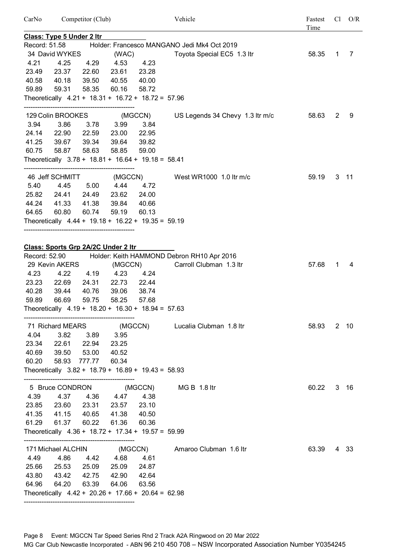CarNo Competitor (Club) Vehicle Fastest Cl O/R Time **Class: Type 5 Under 2 ltr** Record: 51.58 Holder: Francesco MANGANO Jedi Mk4 Oct 2019 34 David WYKES (WAC) Toyota Special EC5 1.3 ltr 58.35 1 7 4.21 4.25 4.29 4.53 4.23 23.49 23.37 22.60 23.61 23.28 40.58 40.18 39.50 40.55 40.00 59.89 59.31 58.35 60.16 58.72 Theoretically 4.21 + 18.31 + 16.72 + 18.72 = 57.96 -------------------------------------------------- 129 Colin BROOKES (MGCCN) US Legends 34 Chevy 1.3 ltr m/c 58.63 2 9 3.94 3.86 3.78 3.99 3.84 24.14 22.90 22.59 23.00 22.95 41.25 39.67 39.34 39.64 39.82 60.75 58.87 58.63 58.85 59.00 Theoretically 3.78 + 18.81 + 16.64 + 19.18 = 58.41 -------------------------------------------------- 46 Jeff SCHMITT (MGCCN) West WR1000 1.0 ltr m/c 59.19 3 11 5.40 4.45 5.00 4.44 4.72 25.82 24.41 24.49 23.62 24.00 44.24 41.33 41.38 39.84 40.66 64.65 60.80 60.74 59.19 60.13 Theoretically 4.44 + 19.18 + 16.22 + 19.35 = 59.19 -------------------------------------------------- **Class: Sports Grp 2A/2C Under 2 ltr** Record: 52.90 Holder: Keith HAMMOND Debron RH10 Apr 2016 29 Kevin AKERS (MGCCN) Carroll Clubman 1.3 ltr 57.68 1 4 4.23 4.22 4.19 4.23 4.24 23.23 22.69 24.31 22.73 22.44 40.28 39.44 40.76 39.06 38.74 59.89 66.69 59.75 58.25 57.68 Theoretically  $4.19 + 18.20 + 16.30 + 18.94 = 57.63$ -------------------------------------------------- 71 Richard MEARS (MGCCN) Lucalia Clubman 1.8 ltr 58.93 2 10 4.04 3.82 3.89 3.95 23.34 22.61 22.94 23.25 40.69 39.50 53.00 40.52 60.20 58.93 777.77 60.34 Theoretically 3.82 + 18.79 + 16.89 + 19.43 = 58.93 -------------------------------------------------- 5 Bruce CONDRON (MGCCN) MG B 1.8 ltr 60.22 3 16 4.39 4.37 4.36 4.47 4.38 23.85 23.60 23.31 23.57 23.10 41.35 41.15 40.65 41.38 40.50 61.29 61.37 60.22 61.36 60.36 Theoretically 4.36 + 18.72 + 17.34 + 19.57 = 59.99 -------------------------------------------------- 171 Michael ALCHIN (MGCCN) Amaroo Clubman 1.6 ltr 63.39 4 33 4.49 4.86 4.42 4.68 4.61 25.66 25.53 25.09 25.09 24.87 43.80 43.42 42.75 42.90 42.64 64.96 64.20 63.39 64.06 63.56 Theoretically  $4.42 + 20.26 + 17.66 + 20.64 = 62.98$ 

Page 8 Event: MGCCN Tar Speed Series Rnd 2 Track A2A Ringwood on 20 Mar 2022 MG Car Club Newcastle Incorporated - ABN 96 210 450 708 – NSW Incorporated Association Number Y0354245

--------------------------------------------------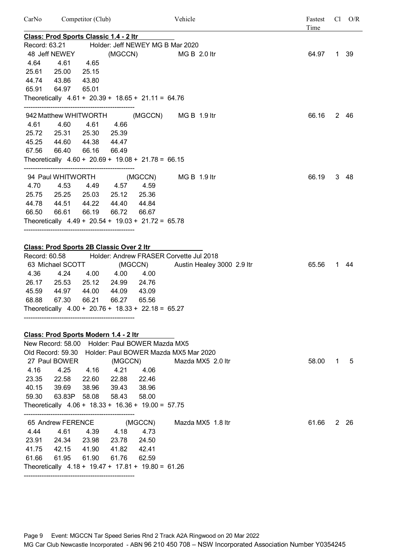| CarNo                                   |                                                                                                                                                                      | Competitor (Club) |                                                            |                | Vehicle                                                               | Fastest<br>Time |   | $Cl$ $O/R$ |
|-----------------------------------------|----------------------------------------------------------------------------------------------------------------------------------------------------------------------|-------------------|------------------------------------------------------------|----------------|-----------------------------------------------------------------------|-----------------|---|------------|
|                                         | <u> Class: Prod Sports Classic 1.4 - 2 ltr</u>                                                                                                                       |                   |                                                            |                |                                                                       |                 |   |            |
|                                         | Record: 63.21                                                                                                                                                        |                   |                                                            |                | Holder: Jeff NEWEY MG B Mar 2020                                      |                 |   |            |
|                                         | 48 Jeff NEWEY                                                                                                                                                        |                   |                                                            |                | (MGCCN) MG B 2.0 ltr                                                  | 64.97           |   | 1 39       |
| 4.64                                    | 4.61                                                                                                                                                                 | 4.65              |                                                            |                |                                                                       |                 |   |            |
| 25.61                                   | 25.00                                                                                                                                                                | 25.15             |                                                            |                |                                                                       |                 |   |            |
| 44.74                                   | 43.86                                                                                                                                                                | 43.80             |                                                            |                |                                                                       |                 |   |            |
| 65.91                                   | 64.97                                                                                                                                                                | 65.01             |                                                            |                |                                                                       |                 |   |            |
|                                         | Theoretically $4.61 + 20.39 + 18.65 + 21.11 = 64.76$                                                                                                                 |                   |                                                            |                |                                                                       |                 |   |            |
|                                         | 942 Matthew WHITWORTH                                                                                                                                                |                   |                                                            |                | (MGCCN) MG B 1.9 ltr                                                  | 66.16           |   | 2 46       |
|                                         | 4.61 4.60                                                                                                                                                            | 4.61              | 4.66                                                       |                |                                                                       |                 |   |            |
|                                         | 25.72 25.31                                                                                                                                                          |                   | 25.30 25.39                                                |                |                                                                       |                 |   |            |
| 45.25                                   | 44.60                                                                                                                                                                |                   | 44.38 44.47                                                |                |                                                                       |                 |   |            |
| 67.56                                   | 66.40                                                                                                                                                                | 66.16             | 66.49                                                      |                |                                                                       |                 |   |            |
|                                         | Theoretically $4.60 + 20.69 + 19.08 + 21.78 = 66.15$                                                                                                                 |                   |                                                            |                |                                                                       |                 |   |            |
|                                         | 94 Paul WHITWORTH (MGCCN)                                                                                                                                            |                   |                                                            |                | MG B 1.9 ltr                                                          | 66.19           |   | 3 48       |
| 4.70                                    | 4.53                                                                                                                                                                 |                   | 4.49  4.57  4.59                                           |                |                                                                       |                 |   |            |
|                                         | 25.75 25.25 25.03 25.12 25.36                                                                                                                                        |                   |                                                            |                |                                                                       |                 |   |            |
| 44.78                                   | 44.51                                                                                                                                                                | 44.22             | 44.40                                                      | 44.84          |                                                                       |                 |   |            |
| 66.50                                   | 66.61                                                                                                                                                                | 66.19             | 66.72                                                      | 66.67          |                                                                       |                 |   |            |
|                                         | Theoretically $4.49 + 20.54 + 19.03 + 21.72 = 65.78$                                                                                                                 |                   |                                                            |                |                                                                       |                 |   |            |
| Record: 60.58<br>4.36<br>45.59<br>68.88 | <b>Class: Prod Sports 2B Classic Over 2 Itr</b><br>63 Michael SCOTT (MGCCN)<br>26.17 25.53<br>44.97<br>67.30<br>Theoretically $4.00 + 20.76 + 18.33 + 22.18 = 65.27$ | 44.00<br>66.21    | 4.24 4.00 4.00 4.00<br>25.12 24.99 24.76<br>44.09<br>66.27 | 43.09<br>65.56 | Holder: Andrew FRASER Corvette Jul 2018<br>Austin Healey 3000 2.9 ltr | 65.56           |   | 1 44       |
|                                         |                                                                                                                                                                      |                   |                                                            |                |                                                                       |                 |   |            |
|                                         | Class: Prod Sports Modern 1.4 - 2 ltr<br>New Record: 58.00 Holder: Paul BOWER Mazda MX5                                                                              |                   |                                                            |                |                                                                       |                 |   |            |
|                                         | Old Record: 59.30                                                                                                                                                    |                   |                                                            |                | Holder: Paul BOWER Mazda MX5 Mar 2020                                 |                 |   |            |
|                                         | 27 Paul BOWER                                                                                                                                                        |                   |                                                            |                | (MGCCN) Mazda MX5 2.0 ltr                                             | 58.00           | 1 | 5          |
| 4.16                                    | 4.25                                                                                                                                                                 | 4.16              | 4.21 4.06                                                  |                |                                                                       |                 |   |            |
| 23.35                                   | 22.58                                                                                                                                                                |                   | 22.60 22.88 22.46                                          |                |                                                                       |                 |   |            |
| 40.15                                   | 39.69                                                                                                                                                                |                   | 38.96 39.43                                                | 38.96          |                                                                       |                 |   |            |
| 59.30                                   | 63.83P 58.08 58.43                                                                                                                                                   |                   |                                                            | 58.00          |                                                                       |                 |   |            |
|                                         | Theoretically $4.06 + 18.33 + 16.36 + 19.00 = 57.75$                                                                                                                 |                   |                                                            |                |                                                                       |                 |   |            |
|                                         | 65 Andrew FERENCE                                                                                                                                                    |                   |                                                            |                | (MGCCN) Mazda MX5 1.8 ltr                                             | 61.66           |   | 2 26       |
| 4.44                                    | 4.61                                                                                                                                                                 | 4.39              | 4.18                                                       | 4.73           |                                                                       |                 |   |            |
|                                         | 23.91 24.34 23.98 23.78 24.50                                                                                                                                        |                   |                                                            |                |                                                                       |                 |   |            |
|                                         | 41.75  42.15  41.90  41.82  42.41                                                                                                                                    |                   |                                                            |                |                                                                       |                 |   |            |
| 61.66                                   | 61.95                                                                                                                                                                | 61.90             | 61.76                                                      | 62.59          |                                                                       |                 |   |            |
|                                         | Theoretically $4.18 + 19.47 + 17.81 + 19.80 = 61.26$                                                                                                                 |                   |                                                            |                |                                                                       |                 |   |            |

--------------------------------------------------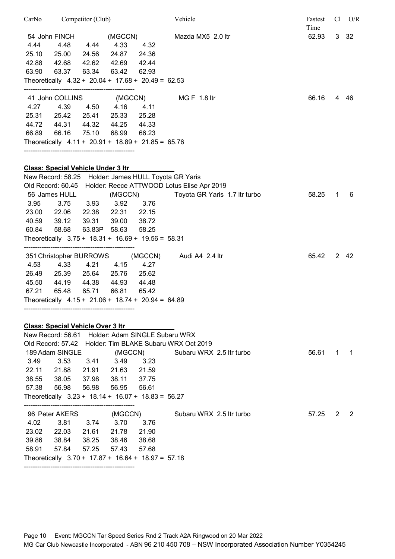| CarNo |                                                                                                   | Competitor (Club) |                   |             | Vehicle                                                      | Fastest<br>Time |   | $Cl$ $O/R$     |
|-------|---------------------------------------------------------------------------------------------------|-------------------|-------------------|-------------|--------------------------------------------------------------|-----------------|---|----------------|
|       | 54 John FINCH                                                                                     |                   | (MGCCN)           |             | Mazda MX5 2.0 ltr                                            | 62.93           |   | $3\quad 32$    |
| 4.44  | 4.48                                                                                              | 4.44              |                   | 4.33 4.32   |                                                              |                 |   |                |
| 25.10 | 25.00                                                                                             | 24.56             | 24.87             | 24.36       |                                                              |                 |   |                |
| 42.88 | 42.68                                                                                             | 42.62             | 42.69             | 42.44       |                                                              |                 |   |                |
| 63.90 | 63.37                                                                                             | 63.34             | 63.42             | 62.93       |                                                              |                 |   |                |
|       | Theoretically $4.32 + 20.04 + 17.68 + 20.49 = 62.53$                                              |                   |                   |             |                                                              |                 |   |                |
|       | 41 John COLLINS (MGCCN)                                                                           |                   |                   |             | MG F 1.8 ltr                                                 | 66.16           |   | 4 46           |
| 4.27  | 4.39                                                                                              |                   | 4.50 4.16         | 4.11        |                                                              |                 |   |                |
|       | 25.31 25.42                                                                                       |                   | 25.41 25.33       | 25.28       |                                                              |                 |   |                |
|       | 44.72 44.31                                                                                       |                   | 44.32 44.25 44.33 |             |                                                              |                 |   |                |
| 66.89 | 66.16                                                                                             | 75.10             | 68.99             | 66.23       |                                                              |                 |   |                |
|       | Theoretically $4.11 + 20.91 + 18.89 + 21.85 = 65.76$                                              |                   |                   |             |                                                              |                 |   |                |
|       |                                                                                                   |                   |                   |             |                                                              |                 |   |                |
|       | <b>Class: Special Vehicle Under 3 Itr</b><br>New Record: 58.25 Holder: James HULL Toyota GR Yaris |                   |                   |             |                                                              |                 |   |                |
|       |                                                                                                   |                   |                   |             | Old Record: 60.45 Holder: Reece ATTWOOD Lotus Elise Apr 2019 |                 |   |                |
|       | 56 James HULL                                                                                     |                   | (MGCCN)           |             | Toyota GR Yaris 1.7 Itr turbo                                | 58.25           | 1 | 6              |
| 3.95  | 3.75                                                                                              |                   | 3.93 3.92 3.76    |             |                                                              |                 |   |                |
|       | 23.00 22.06                                                                                       | 22.38             |                   | 22.31 22.15 |                                                              |                 |   |                |
| 40.59 | 39.12                                                                                             | 39.31             | 39.00             | 38.72       |                                                              |                 |   |                |
| 60.84 | 58.68                                                                                             |                   | 63.83P 58.63      | 58.25       |                                                              |                 |   |                |
|       | Theoretically $3.75 + 18.31 + 16.69 + 19.56 = 58.31$                                              |                   |                   |             |                                                              |                 |   |                |
|       | 351 Christopher BURROWS                                                                           |                   |                   | (MGCCN)     | Audi A4 2.4 ltr                                              | 65.42           |   | 2 42           |
| 4.53  | 4.33                                                                                              | 4.21              | 4.15              | 4.27        |                                                              |                 |   |                |
| 26.49 | 25.39                                                                                             | 25.64             | 25.76             | 25.62       |                                                              |                 |   |                |
| 45.50 | 44.19                                                                                             | 44.38             | 44.93             | 44.48       |                                                              |                 |   |                |
| 67.21 | 65.48                                                                                             | 65.71             | 66.81             | 65.42       |                                                              |                 |   |                |
|       | Theoretically $4.15 + 21.06 + 18.74 + 20.94 = 64.89$                                              |                   |                   |             |                                                              |                 |   |                |
|       |                                                                                                   |                   |                   |             |                                                              |                 |   |                |
|       | <b>Class: Special Vehicle Over 3 Itr</b>                                                          |                   |                   |             |                                                              |                 |   |                |
|       | New Record: 56.61 Holder: Adam SINGLE Subaru WRX                                                  |                   |                   |             |                                                              |                 |   |                |
|       |                                                                                                   |                   |                   |             | Old Record: 57.42 Holder: Tim BLAKE Subaru WRX Oct 2019      |                 |   |                |
|       | 189 Adam SINGLE                                                                                   |                   | (MGCCN)           |             | Subaru WRX 2.5 Itr turbo                                     | 56.61           | 1 | $\overline{1}$ |
| 3.49  | 3.53                                                                                              | 3.41              | 3.49              | 3.23        |                                                              |                 |   |                |
|       | 22.11 21.88 21.91 21.63                                                                           |                   |                   | 21.59       |                                                              |                 |   |                |
|       | 38.55 38.05                                                                                       | 37.98             | 38.11             | 37.75       |                                                              |                 |   |                |
| 57.38 | 56.98<br>Theoretically $3.23 + 18.14 + 16.07 + 18.83 = 56.27$                                     | 56.98             | 56.95             | 56.61       |                                                              |                 |   |                |
|       |                                                                                                   |                   |                   |             |                                                              |                 |   |                |
|       | 96 Peter AKERS                                                                                    |                   | (MGCCN)           |             | Subaru WRX 2.5 Itr turbo                                     | 57.25           | 2 | 2              |
| 4.02  | 3.81                                                                                              | 3.74              | 3.70              | 3.76        |                                                              |                 |   |                |
|       | 23.02 22.03                                                                                       | 21.61             | 21.78             | 21.90       |                                                              |                 |   |                |
|       | 39.86 38.84                                                                                       | 38.25             | 38.46             | 38.68       |                                                              |                 |   |                |
| 58.91 | 57.84                                                                                             | 57.25             | 57.43             | 57.68       |                                                              |                 |   |                |
|       | Theoretically $3.70 + 17.87 + 16.64 + 18.97 = 57.18$                                              |                   |                   |             |                                                              |                 |   |                |
|       |                                                                                                   |                   |                   |             |                                                              |                 |   |                |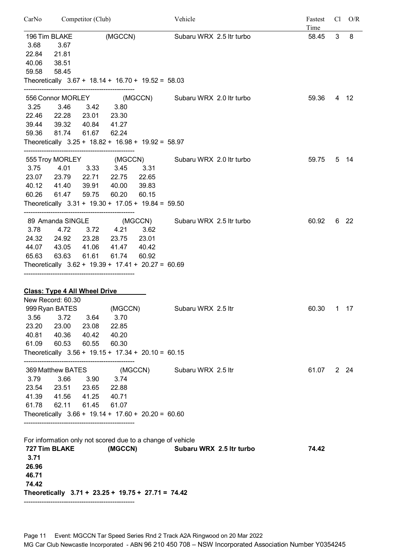| Competitor (Club)<br>CarNo |                                                            |       |             | Vehicle |                                                    |  |  | Fastest<br>C <sub>1</sub> |              |      |
|----------------------------|------------------------------------------------------------|-------|-------------|---------|----------------------------------------------------|--|--|---------------------------|--------------|------|
|                            |                                                            |       |             |         | Subaru WRX 2.5 ltr turbo                           |  |  | Time<br>58.45             | $\mathbf{3}$ | 8    |
|                            | 196 Tim BLAKE                                              |       | (MGCCN)     |         |                                                    |  |  |                           |              |      |
| 3.68                       | 3.67                                                       |       |             |         |                                                    |  |  |                           |              |      |
| 22.84                      | 21.81                                                      |       |             |         |                                                    |  |  |                           |              |      |
| 40.06                      | 38.51                                                      |       |             |         |                                                    |  |  |                           |              |      |
| 59.58                      | 58.45                                                      |       |             |         |                                                    |  |  |                           |              |      |
|                            | Theoretically $3.67 + 18.14 + 16.70 + 19.52 = 58.03$       |       |             |         |                                                    |  |  |                           |              |      |
|                            |                                                            |       |             |         | 556 Connor MORLEY (MGCCN) Subaru WRX 2.0 ltr turbo |  |  | 59.36                     |              | 4 12 |
| 3.25                       | 3.46                                                       | 3.42  | 3.80        |         |                                                    |  |  |                           |              |      |
| 22.46                      | 22.28                                                      | 23.01 | 23.30       |         |                                                    |  |  |                           |              |      |
| 39.44                      | 39.32                                                      | 40.84 | 41.27       |         |                                                    |  |  |                           |              |      |
| 59.36                      | 81.74                                                      | 61.67 | 62.24       |         |                                                    |  |  |                           |              |      |
|                            | Theoretically 3.25 + 18.82 + 16.98 + 19.92 = 58.97         |       |             |         |                                                    |  |  |                           |              |      |
|                            |                                                            |       |             |         |                                                    |  |  |                           |              |      |
|                            | 555 Troy MORLEY (MGCCN)                                    |       |             |         | Subaru WRX 2.0 Itr turbo                           |  |  | 59.75                     |              | 5 14 |
| 3.75                       | 4.01                                                       | 3.33  | 3.45        | 3.31    |                                                    |  |  |                           |              |      |
|                            | 23.07 23.79 22.71                                          |       | 22.75       | 22.65   |                                                    |  |  |                           |              |      |
|                            | 40.12 41.40                                                | 39.91 | 40.00       | 39.83   |                                                    |  |  |                           |              |      |
| 60.26                      | 61.47                                                      | 59.75 | 60.20       | 60.15   |                                                    |  |  |                           |              |      |
|                            | Theoretically $3.31 + 19.30 + 17.05 + 19.84 = 59.50$       |       |             |         |                                                    |  |  |                           |              |      |
|                            | 89 Amanda SINGLE                                           |       |             | (MGCCN) | Subaru WRX 2.5 ltr turbo                           |  |  | 60.92                     |              | 6 22 |
| 3.78                       | 4.72                                                       |       | 3.72 4.21   | 3.62    |                                                    |  |  |                           |              |      |
|                            | 24.32 24.92                                                |       | 23.28 23.75 | 23.01   |                                                    |  |  |                           |              |      |
|                            | 44.07 43.05                                                | 41.06 | 41.47       | 40.42   |                                                    |  |  |                           |              |      |
|                            |                                                            |       |             |         |                                                    |  |  |                           |              |      |
| 65.63                      | 63.63                                                      | 61.61 | 61.74       | 60.92   |                                                    |  |  |                           |              |      |
|                            | Theoretically $3.62 + 19.39 + 17.41 + 20.27 = 60.69$       |       |             |         |                                                    |  |  |                           |              |      |
|                            |                                                            |       |             |         |                                                    |  |  |                           |              |      |
|                            | <b>Class: Type 4 All Wheel Drive</b>                       |       |             |         |                                                    |  |  |                           |              |      |
|                            | New Record: 60.30                                          |       |             |         |                                                    |  |  |                           |              |      |
|                            | 999 Ryan BATES                                             |       |             |         | (MGCCN) Subaru WRX 2.5 ltr                         |  |  | 60.30                     |              | 1 17 |
| 3.56                       | 3.72                                                       | 3.64  | 3.70        |         |                                                    |  |  |                           |              |      |
| 23.20                      | 23.00                                                      | 23.08 | 22.85       |         |                                                    |  |  |                           |              |      |
|                            | 40.81 40.36                                                | 40.42 | 40.20       |         |                                                    |  |  |                           |              |      |
| 61.09                      | 60.53                                                      | 60.55 | 60.30       |         |                                                    |  |  |                           |              |      |
|                            | Theoretically $3.56 + 19.15 + 17.34 + 20.10 = 60.15$       |       |             |         |                                                    |  |  |                           |              |      |
|                            | 369 Matthew BATES                                          |       |             |         | (MGCCN) Subaru WRX 2.5 ltr                         |  |  | 61.07                     |              | 2 24 |
| 3.79                       | 3.66                                                       | 3.90  | 3.74        |         |                                                    |  |  |                           |              |      |
|                            | 23.54 23.51 23.65 22.88                                    |       |             |         |                                                    |  |  |                           |              |      |
|                            | 41.39  41.56  41.25  40.71                                 |       |             |         |                                                    |  |  |                           |              |      |
|                            | 61.78 62.11 61.45                                          |       | 61.07       |         |                                                    |  |  |                           |              |      |
|                            | Theoretically $3.66 + 19.14 + 17.60 + 20.20 = 60.60$       |       |             |         |                                                    |  |  |                           |              |      |
|                            |                                                            |       |             |         |                                                    |  |  |                           |              |      |
|                            |                                                            |       |             |         |                                                    |  |  |                           |              |      |
|                            | For information only not scored due to a change of vehicle |       |             |         |                                                    |  |  |                           |              |      |
|                            | 727 Tim BLAKE                                              |       |             |         | (MGCCN) Subaru WRX 2.5 ltr turbo                   |  |  | 74.42                     |              |      |
| 3.71                       |                                                            |       |             |         |                                                    |  |  |                           |              |      |
| 26.96                      |                                                            |       |             |         |                                                    |  |  |                           |              |      |
| 46.71                      |                                                            |       |             |         |                                                    |  |  |                           |              |      |
| 74.42                      |                                                            |       |             |         |                                                    |  |  |                           |              |      |
|                            | Theoretically 3.71 + 23.25 + 19.75 + 27.71 = 74.42         |       |             |         |                                                    |  |  |                           |              |      |
|                            |                                                            |       |             |         |                                                    |  |  |                           |              |      |